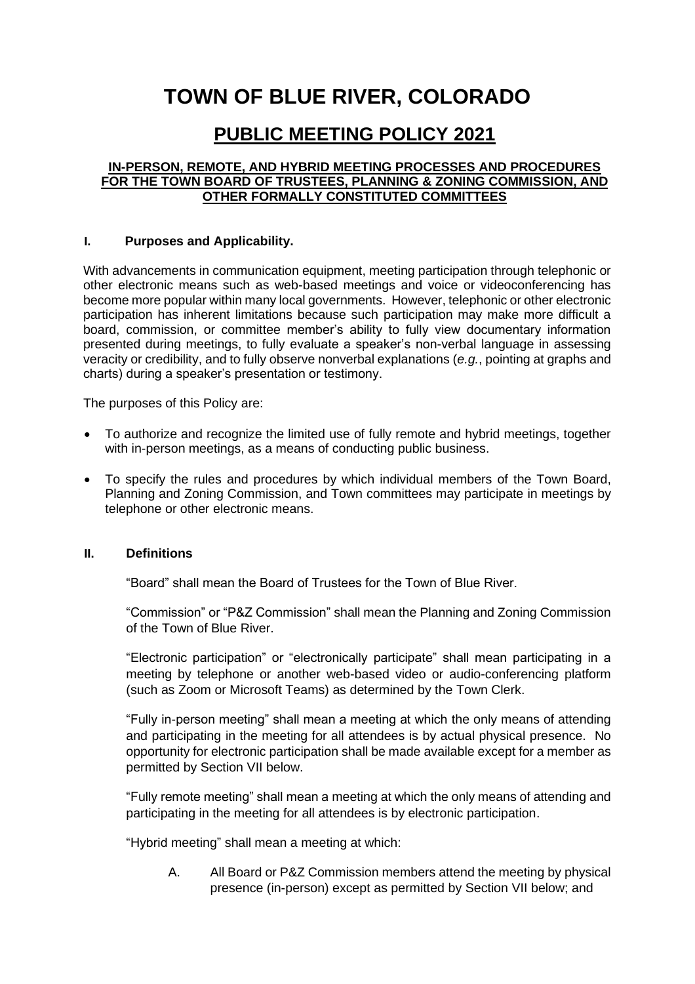# **TOWN OF BLUE RIVER, COLORADO**

# **PUBLIC MEETING POLICY 2021**

#### **IN-PERSON, REMOTE, AND HYBRID MEETING PROCESSES AND PROCEDURES FOR THE TOWN BOARD OF TRUSTEES, PLANNING & ZONING COMMISSION, AND OTHER FORMALLY CONSTITUTED COMMITTEES**

#### **I. Purposes and Applicability.**

With advancements in communication equipment, meeting participation through telephonic or other electronic means such as web-based meetings and voice or videoconferencing has become more popular within many local governments. However, telephonic or other electronic participation has inherent limitations because such participation may make more difficult a board, commission, or committee member's ability to fully view documentary information presented during meetings, to fully evaluate a speaker's non-verbal language in assessing veracity or credibility, and to fully observe nonverbal explanations (*e.g.*, pointing at graphs and charts) during a speaker's presentation or testimony.

The purposes of this Policy are:

- To authorize and recognize the limited use of fully remote and hybrid meetings, together with in-person meetings, as a means of conducting public business.
- To specify the rules and procedures by which individual members of the Town Board, Planning and Zoning Commission, and Town committees may participate in meetings by telephone or other electronic means.

#### **II. Definitions**

"Board" shall mean the Board of Trustees for the Town of Blue River.

"Commission" or "P&Z Commission" shall mean the Planning and Zoning Commission of the Town of Blue River.

"Electronic participation" or "electronically participate" shall mean participating in a meeting by telephone or another web-based video or audio-conferencing platform (such as Zoom or Microsoft Teams) as determined by the Town Clerk.

"Fully in-person meeting" shall mean a meeting at which the only means of attending and participating in the meeting for all attendees is by actual physical presence. No opportunity for electronic participation shall be made available except for a member as permitted by Section VII below.

"Fully remote meeting" shall mean a meeting at which the only means of attending and participating in the meeting for all attendees is by electronic participation.

"Hybrid meeting" shall mean a meeting at which:

A. All Board or P&Z Commission members attend the meeting by physical presence (in-person) except as permitted by Section VII below; and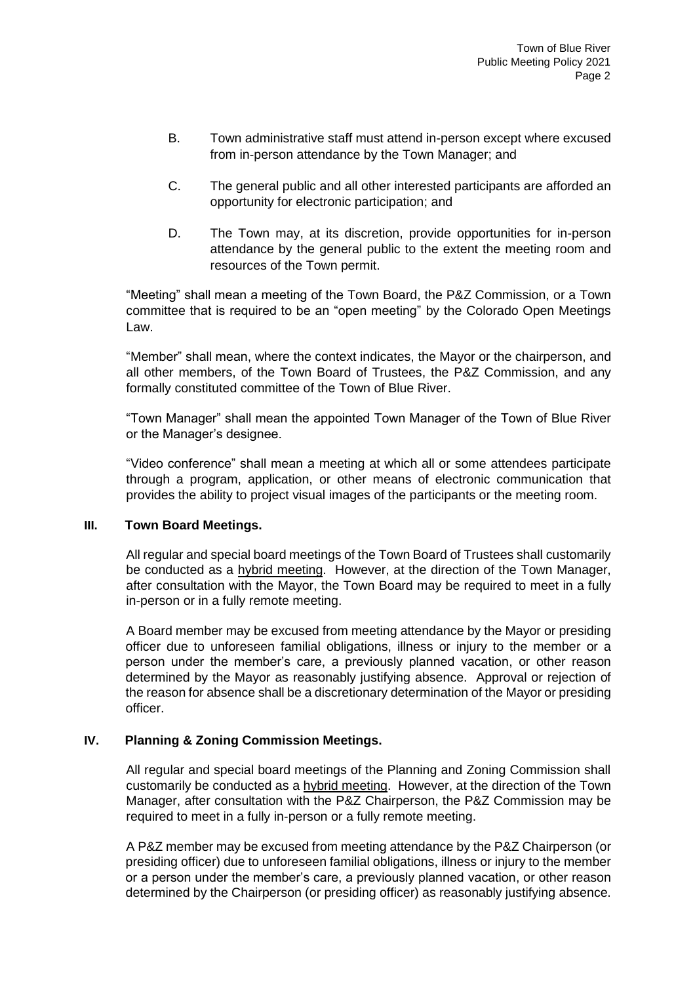- B. Town administrative staff must attend in-person except where excused from in-person attendance by the Town Manager; and
- C. The general public and all other interested participants are afforded an opportunity for electronic participation; and
- D. The Town may, at its discretion, provide opportunities for in-person attendance by the general public to the extent the meeting room and resources of the Town permit.

"Meeting" shall mean a meeting of the Town Board, the P&Z Commission, or a Town committee that is required to be an "open meeting" by the Colorado Open Meetings Law.

"Member" shall mean, where the context indicates, the Mayor or the chairperson, and all other members, of the Town Board of Trustees, the P&Z Commission, and any formally constituted committee of the Town of Blue River.

"Town Manager" shall mean the appointed Town Manager of the Town of Blue River or the Manager's designee.

"Video conference" shall mean a meeting at which all or some attendees participate through a program, application, or other means of electronic communication that provides the ability to project visual images of the participants or the meeting room.

#### **III. Town Board Meetings.**

All regular and special board meetings of the Town Board of Trustees shall customarily be conducted as a hybrid meeting. However, at the direction of the Town Manager, after consultation with the Mayor, the Town Board may be required to meet in a fully in-person or in a fully remote meeting.

A Board member may be excused from meeting attendance by the Mayor or presiding officer due to unforeseen familial obligations, illness or injury to the member or a person under the member's care, a previously planned vacation, or other reason determined by the Mayor as reasonably justifying absence. Approval or rejection of the reason for absence shall be a discretionary determination of the Mayor or presiding officer.

#### **IV. Planning & Zoning Commission Meetings.**

All regular and special board meetings of the Planning and Zoning Commission shall customarily be conducted as a hybrid meeting. However, at the direction of the Town Manager, after consultation with the P&Z Chairperson, the P&Z Commission may be required to meet in a fully in-person or a fully remote meeting.

A P&Z member may be excused from meeting attendance by the P&Z Chairperson (or presiding officer) due to unforeseen familial obligations, illness or injury to the member or a person under the member's care, a previously planned vacation, or other reason determined by the Chairperson (or presiding officer) as reasonably justifying absence.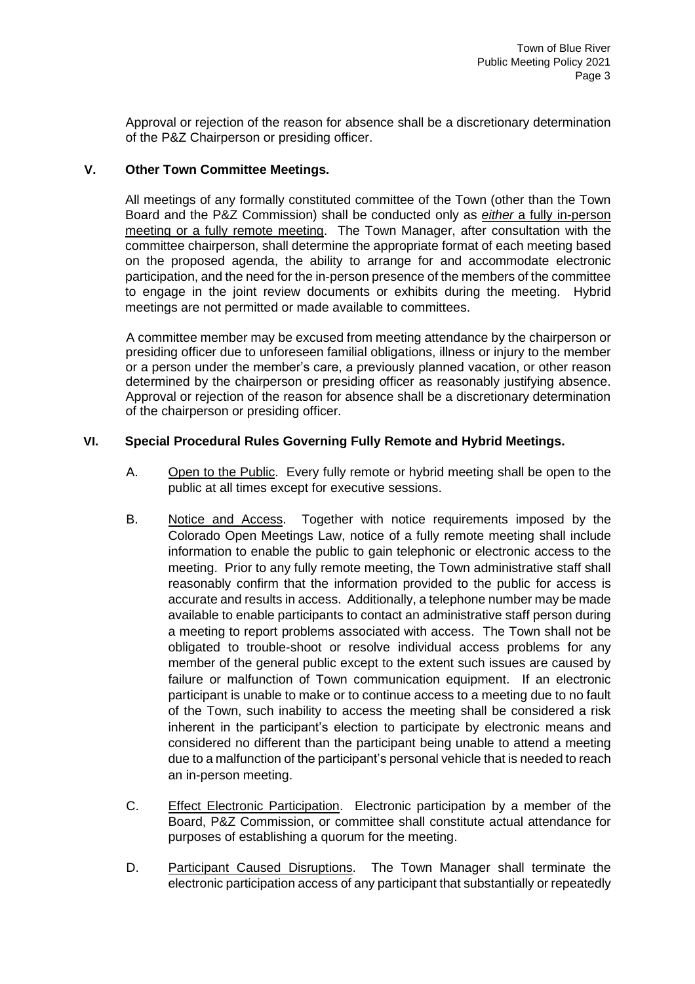Approval or rejection of the reason for absence shall be a discretionary determination of the P&Z Chairperson or presiding officer.

#### **V. Other Town Committee Meetings.**

All meetings of any formally constituted committee of the Town (other than the Town Board and the P&Z Commission) shall be conducted only as *either* a fully in-person meeting or a fully remote meeting. The Town Manager, after consultation with the committee chairperson, shall determine the appropriate format of each meeting based on the proposed agenda, the ability to arrange for and accommodate electronic participation, and the need for the in-person presence of the members of the committee to engage in the joint review documents or exhibits during the meeting. Hybrid meetings are not permitted or made available to committees.

A committee member may be excused from meeting attendance by the chairperson or presiding officer due to unforeseen familial obligations, illness or injury to the member or a person under the member's care, a previously planned vacation, or other reason determined by the chairperson or presiding officer as reasonably justifying absence. Approval or rejection of the reason for absence shall be a discretionary determination of the chairperson or presiding officer.

#### **VI. Special Procedural Rules Governing Fully Remote and Hybrid Meetings.**

- A. Open to the Public. Every fully remote or hybrid meeting shall be open to the public at all times except for executive sessions.
- B. Notice and Access. Together with notice requirements imposed by the Colorado Open Meetings Law, notice of a fully remote meeting shall include information to enable the public to gain telephonic or electronic access to the meeting. Prior to any fully remote meeting, the Town administrative staff shall reasonably confirm that the information provided to the public for access is accurate and results in access. Additionally, a telephone number may be made available to enable participants to contact an administrative staff person during a meeting to report problems associated with access. The Town shall not be obligated to trouble-shoot or resolve individual access problems for any member of the general public except to the extent such issues are caused by failure or malfunction of Town communication equipment. If an electronic participant is unable to make or to continue access to a meeting due to no fault of the Town, such inability to access the meeting shall be considered a risk inherent in the participant's election to participate by electronic means and considered no different than the participant being unable to attend a meeting due to a malfunction of the participant's personal vehicle that is needed to reach an in-person meeting.
- C. Effect Electronic Participation. Electronic participation by a member of the Board, P&Z Commission, or committee shall constitute actual attendance for purposes of establishing a quorum for the meeting.
- D. Participant Caused Disruptions. The Town Manager shall terminate the electronic participation access of any participant that substantially or repeatedly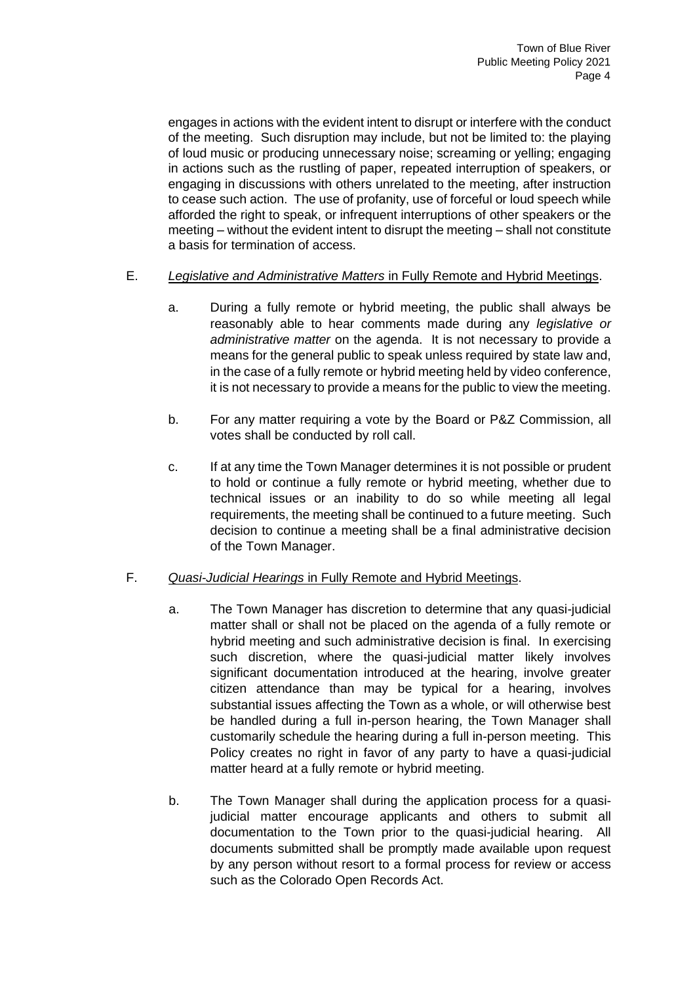engages in actions with the evident intent to disrupt or interfere with the conduct of the meeting. Such disruption may include, but not be limited to: the playing of loud music or producing unnecessary noise; screaming or yelling; engaging in actions such as the rustling of paper, repeated interruption of speakers, or engaging in discussions with others unrelated to the meeting, after instruction to cease such action. The use of profanity, use of forceful or loud speech while afforded the right to speak, or infrequent interruptions of other speakers or the meeting – without the evident intent to disrupt the meeting – shall not constitute a basis for termination of access.

## E. *Legislative and Administrative Matters* in Fully Remote and Hybrid Meetings.

- a. During a fully remote or hybrid meeting, the public shall always be reasonably able to hear comments made during any *legislative or administrative matter* on the agenda. It is not necessary to provide a means for the general public to speak unless required by state law and, in the case of a fully remote or hybrid meeting held by video conference, it is not necessary to provide a means for the public to view the meeting.
- b. For any matter requiring a vote by the Board or P&Z Commission, all votes shall be conducted by roll call.
- c. If at any time the Town Manager determines it is not possible or prudent to hold or continue a fully remote or hybrid meeting, whether due to technical issues or an inability to do so while meeting all legal requirements, the meeting shall be continued to a future meeting. Such decision to continue a meeting shall be a final administrative decision of the Town Manager.

#### F. *Quasi-Judicial Hearings* in Fully Remote and Hybrid Meetings.

- a. The Town Manager has discretion to determine that any quasi-judicial matter shall or shall not be placed on the agenda of a fully remote or hybrid meeting and such administrative decision is final. In exercising such discretion, where the quasi-judicial matter likely involves significant documentation introduced at the hearing, involve greater citizen attendance than may be typical for a hearing, involves substantial issues affecting the Town as a whole, or will otherwise best be handled during a full in-person hearing, the Town Manager shall customarily schedule the hearing during a full in-person meeting. This Policy creates no right in favor of any party to have a quasi-judicial matter heard at a fully remote or hybrid meeting.
- b. The Town Manager shall during the application process for a quasijudicial matter encourage applicants and others to submit all documentation to the Town prior to the quasi-judicial hearing. All documents submitted shall be promptly made available upon request by any person without resort to a formal process for review or access such as the Colorado Open Records Act.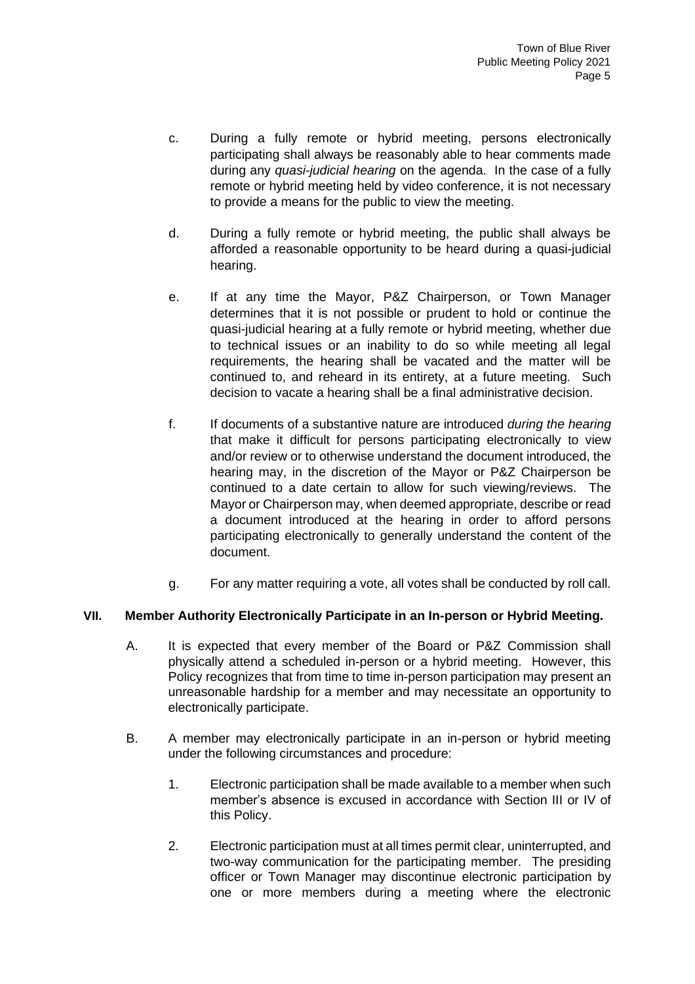- c. During a fully remote or hybrid meeting, persons electronically participating shall always be reasonably able to hear comments made during any *quasi-judicial hearing* on the agenda. In the case of a fully remote or hybrid meeting held by video conference, it is not necessary to provide a means for the public to view the meeting.
- d. During a fully remote or hybrid meeting, the public shall always be afforded a reasonable opportunity to be heard during a quasi-judicial hearing.
- e. If at any time the Mayor, P&Z Chairperson, or Town Manager determines that it is not possible or prudent to hold or continue the quasi-judicial hearing at a fully remote or hybrid meeting, whether due to technical issues or an inability to do so while meeting all legal requirements, the hearing shall be vacated and the matter will be continued to, and reheard in its entirety, at a future meeting. Such decision to vacate a hearing shall be a final administrative decision.
- f. If documents of a substantive nature are introduced *during the hearing* that make it difficult for persons participating electronically to view and/or review or to otherwise understand the document introduced, the hearing may, in the discretion of the Mayor or P&Z Chairperson be continued to a date certain to allow for such viewing/reviews. The Mayor or Chairperson may, when deemed appropriate, describe or read a document introduced at the hearing in order to afford persons participating electronically to generally understand the content of the document.
- g. For any matter requiring a vote, all votes shall be conducted by roll call.

#### **VII. Member Authority Electronically Participate in an In-person or Hybrid Meeting.**

- A. It is expected that every member of the Board or P&Z Commission shall physically attend a scheduled in-person or a hybrid meeting. However, this Policy recognizes that from time to time in-person participation may present an unreasonable hardship for a member and may necessitate an opportunity to electronically participate.
- B. A member may electronically participate in an in-person or hybrid meeting under the following circumstances and procedure:
	- 1. Electronic participation shall be made available to a member when such member's absence is excused in accordance with Section III or IV of this Policy.
	- 2. Electronic participation must at all times permit clear, uninterrupted, and two-way communication for the participating member. The presiding officer or Town Manager may discontinue electronic participation by one or more members during a meeting where the electronic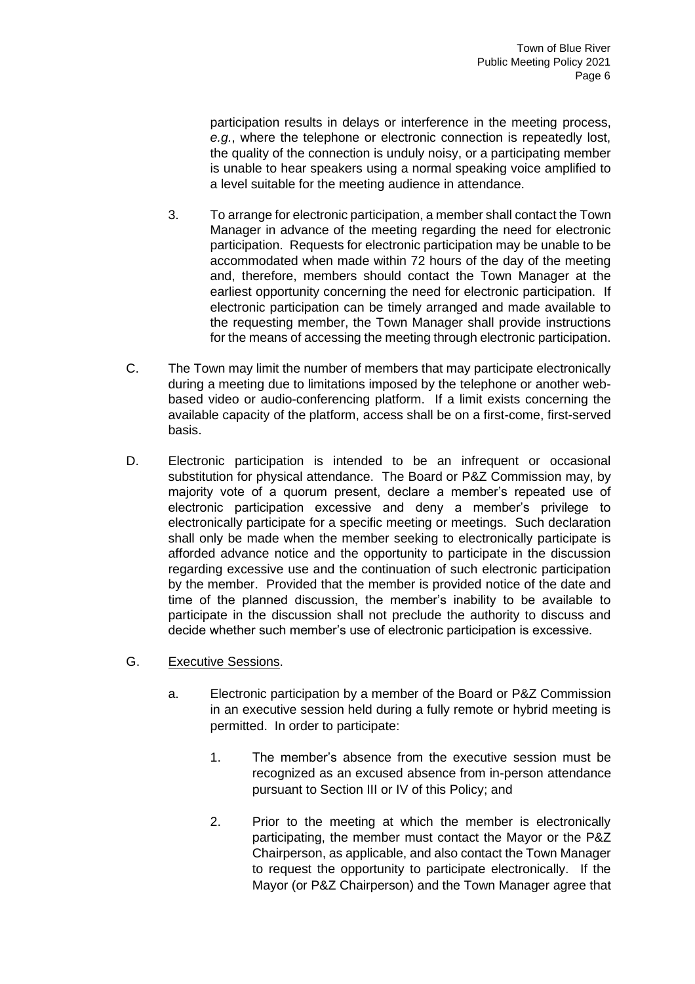participation results in delays or interference in the meeting process, *e.g.*, where the telephone or electronic connection is repeatedly lost, the quality of the connection is unduly noisy, or a participating member is unable to hear speakers using a normal speaking voice amplified to a level suitable for the meeting audience in attendance.

- 3. To arrange for electronic participation, a member shall contact the Town Manager in advance of the meeting regarding the need for electronic participation. Requests for electronic participation may be unable to be accommodated when made within 72 hours of the day of the meeting and, therefore, members should contact the Town Manager at the earliest opportunity concerning the need for electronic participation. If electronic participation can be timely arranged and made available to the requesting member, the Town Manager shall provide instructions for the means of accessing the meeting through electronic participation.
- C. The Town may limit the number of members that may participate electronically during a meeting due to limitations imposed by the telephone or another webbased video or audio-conferencing platform. If a limit exists concerning the available capacity of the platform, access shall be on a first-come, first-served basis.
- D. Electronic participation is intended to be an infrequent or occasional substitution for physical attendance. The Board or P&Z Commission may, by majority vote of a quorum present, declare a member's repeated use of electronic participation excessive and deny a member's privilege to electronically participate for a specific meeting or meetings. Such declaration shall only be made when the member seeking to electronically participate is afforded advance notice and the opportunity to participate in the discussion regarding excessive use and the continuation of such electronic participation by the member. Provided that the member is provided notice of the date and time of the planned discussion, the member's inability to be available to participate in the discussion shall not preclude the authority to discuss and decide whether such member's use of electronic participation is excessive.
- G. Executive Sessions.
	- a. Electronic participation by a member of the Board or P&Z Commission in an executive session held during a fully remote or hybrid meeting is permitted. In order to participate:
		- 1. The member's absence from the executive session must be recognized as an excused absence from in-person attendance pursuant to Section III or IV of this Policy; and
		- 2. Prior to the meeting at which the member is electronically participating, the member must contact the Mayor or the P&Z Chairperson, as applicable, and also contact the Town Manager to request the opportunity to participate electronically. If the Mayor (or P&Z Chairperson) and the Town Manager agree that